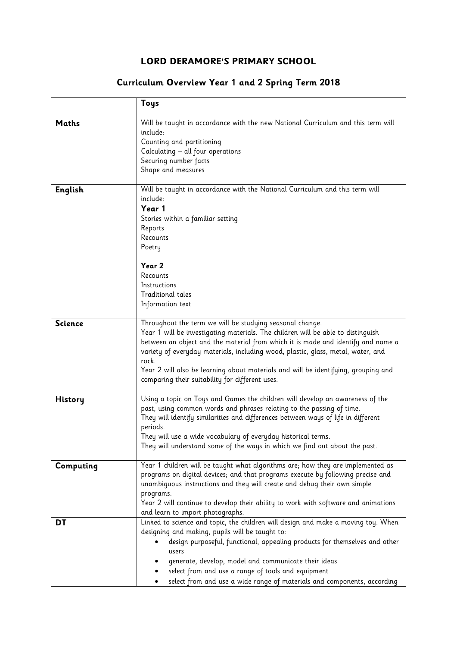## **LORD DERAMORE'S PRIMARY SCHOOL**

## **Curriculum Overview Year 1 and 2 Spring Term 2018**

|                | Toys                                                                                                                                                                                                                                                                                                                                                                                                                                                                   |
|----------------|------------------------------------------------------------------------------------------------------------------------------------------------------------------------------------------------------------------------------------------------------------------------------------------------------------------------------------------------------------------------------------------------------------------------------------------------------------------------|
| <b>Maths</b>   | Will be taught in accordance with the new National Curriculum and this term will<br>include:<br>Counting and partitioning<br>Calculating - all four operations<br>Securing number facts<br>Shape and measures                                                                                                                                                                                                                                                          |
| English        | Will be taught in accordance with the National Curriculum and this term will<br>include:<br>Year 1<br>Stories within a familiar setting<br>Reports<br>Recounts<br>Poetry<br>Year 2<br>Recounts<br>Instructions<br><b>Traditional tales</b>                                                                                                                                                                                                                             |
|                | Information text                                                                                                                                                                                                                                                                                                                                                                                                                                                       |
| <b>Science</b> | Throughout the term we will be studying seasonal change.<br>Year 1 will be investigating materials. The children will be able to distinguish<br>between an object and the material from which it is made and identify and name a<br>variety of everyday materials, including wood, plastic, glass, metal, water, and<br>rock.<br>Year 2 will also be learning about materials and will be identifying, grouping and<br>comparing their suitability for different uses. |
| <b>History</b> | Using a topic on Toys and Games the children will develop an awareness of the<br>past, using common words and phrases relating to the passing of time.<br>They will identify similarities and differences between ways of life in different<br>periods.<br>They will use a wide vocabulary of everyday historical terms.<br>They will understand some of the ways in which we find out about the past.                                                                 |
| Computing      | Year 1 children will be taught what algorithms are; how they are implemented as<br>programs on digital devices; and that programs execute by following precise and<br>unambiguous instructions and they will create and debug their own simple<br>programs.<br>Year 2 will continue to develop their ability to work with software and animations<br>and learn to import photographs.                                                                                  |
| DT             | Linked to science and topic, the children will design and make a moving toy. When<br>designing and making, pupils will be taught to:<br>design purposeful, functional, appealing products for themselves and other<br>users<br>generate, develop, model and communicate their ideas<br>select from and use a range of tools and equipment<br>select from and use a wide range of materials and components, according                                                   |